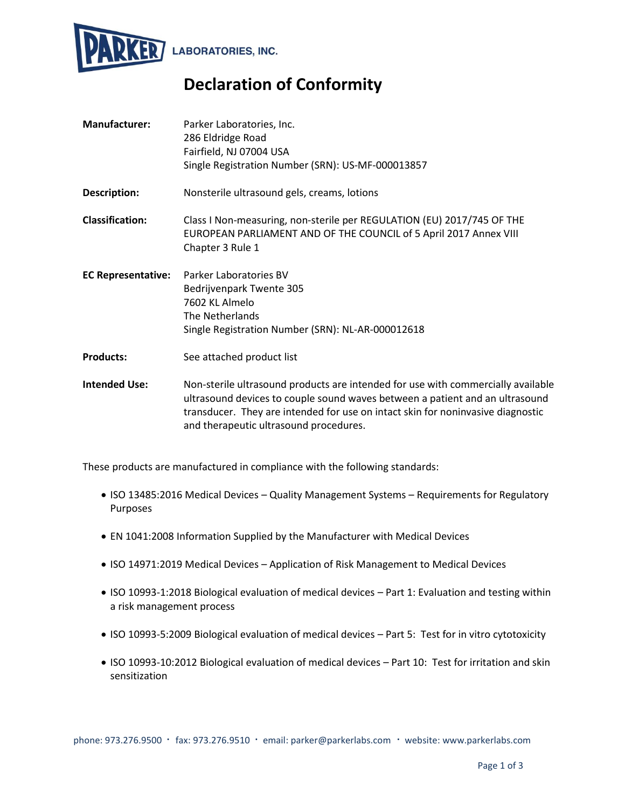

## **Declaration of Conformity**

| <b>Manufacturer:</b>      | Parker Laboratories, Inc.<br>286 Eldridge Road<br>Fairfield, NJ 07004 USA<br>Single Registration Number (SRN): US-MF-000013857                                                                                                                                                                |  |
|---------------------------|-----------------------------------------------------------------------------------------------------------------------------------------------------------------------------------------------------------------------------------------------------------------------------------------------|--|
| Description:              | Nonsterile ultrasound gels, creams, lotions                                                                                                                                                                                                                                                   |  |
| <b>Classification:</b>    | Class I Non-measuring, non-sterile per REGULATION (EU) 2017/745 OF THE<br>EUROPEAN PARLIAMENT AND OF THE COUNCIL of 5 April 2017 Annex VIII<br>Chapter 3 Rule 1                                                                                                                               |  |
| <b>EC Representative:</b> | Parker Laboratories BV<br>Bedrijvenpark Twente 305<br>7602 KL Almelo<br>The Netherlands<br>Single Registration Number (SRN): NL-AR-000012618                                                                                                                                                  |  |
| <b>Products:</b>          | See attached product list                                                                                                                                                                                                                                                                     |  |
| <b>Intended Use:</b>      | Non-sterile ultrasound products are intended for use with commercially available<br>ultrasound devices to couple sound waves between a patient and an ultrasound<br>transducer. They are intended for use on intact skin for noninvasive diagnostic<br>and therapeutic ultrasound procedures. |  |

These products are manufactured in compliance with the following standards:

- ISO 13485:2016 Medical Devices Quality Management Systems Requirements for Regulatory Purposes
- EN 1041:2008 Information Supplied by the Manufacturer with Medical Devices
- ISO 14971:2019 Medical Devices Application of Risk Management to Medical Devices
- ISO 10993-1:2018 Biological evaluation of medical devices Part 1: Evaluation and testing within a risk management process
- ISO 10993-5:2009 Biological evaluation of medical devices Part 5: Test for in vitro cytotoxicity
- ISO 10993-10:2012 Biological evaluation of medical devices Part 10: Test for irritation and skin sensitization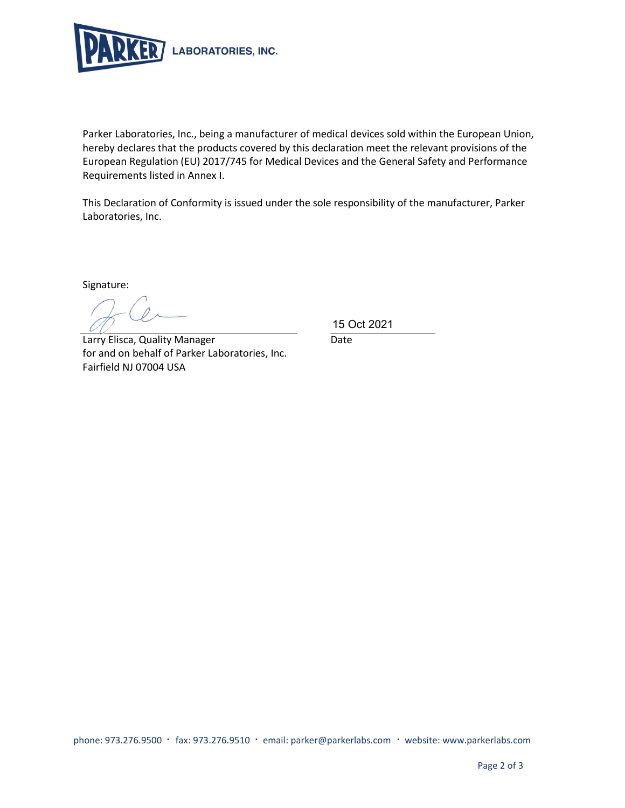

Parker Laboratories, Inc., being a manufacturer of medical devices sold within the European Union, hereby declares that the products covered by this declaration meet the relevant provisions of the European Regulation (EU) 2017/745 for Medical Devices and the General Safety and Performance Requirements listed in Annex I.

This Declaration of Conformity is issued under the sole responsibility of the manufacturer, Parker Laboratories, Inc.

Signature:

Larry Elisca, Quality Manager Date for and on behalf of Parker Laboratories, Inc. Fairfield NJ 07004 USA

15 Oct 2021